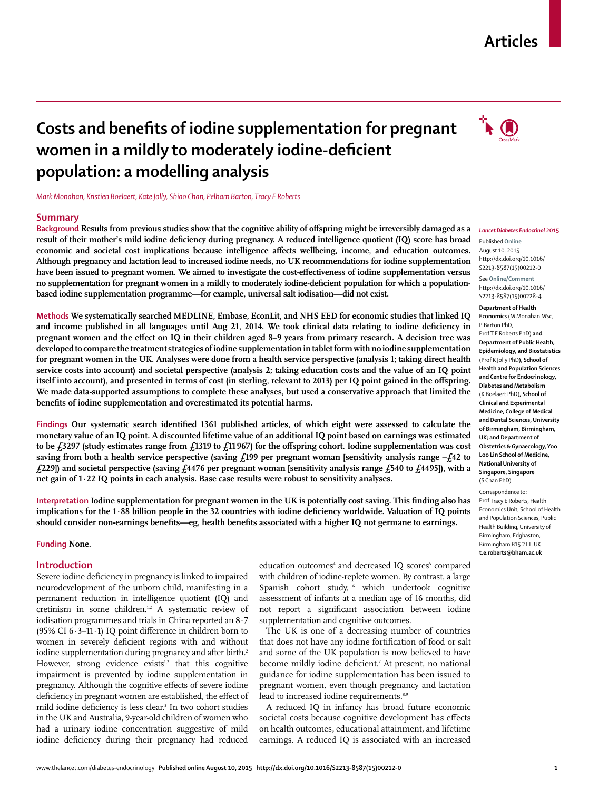# **Articles**

# T O

# **Costs and benefi ts of iodine supplementation for pregnant**  women in a mildly to moderately iodine-deficient **population: a modelling analysis**



## **Summary**

**Background Results from previous studies show that the cognitive ability of off spring might be irreversibly damaged as a**  result of their mother's mild iodine deficiency during pregnancy. A reduced intelligence quotient (IQ) score has broad economic and societal cost implications because intelligence affects wellbeing, income, and education outcomes. **Although pregnancy and lactation lead to increased iodine needs, no UK recommendations for iodine supplementation**  have been issued to pregnant women. We aimed to investigate the cost-effectiveness of iodine supplementation versus no supplementation for pregnant women in a mildly to moderately iodine-deficient population for which a population**based iodine supplementation programme—for example, universal salt iodisation—did not exist.**

**Methods We systematically searched MEDLINE, Embase, EconLit, and NHS EED for economic studies that linked IQ**  and income published in all languages until Aug 21, 2014. We took clinical data relating to iodine deficiency in pregnant women and the effect on IQ in their children aged 8–9 years from primary research. A decision tree was **developed to compare the treatment strategies of iodine supplementation in tablet form with no iodine supplementation for pregnant women in the UK. Analyses were done from a health service perspective (analysis 1; taking direct health service costs into account) and societal perspective (analysis 2; taking education costs and the value of an IQ point**  itself into account), and presented in terms of cost (in sterling, relevant to 2013) per IQ point gained in the offspring. **We made data-supported assumptions to complete these analyses, but used a conservative approach that limited the**  benefits of iodine supplementation and overestimated its potential harms.

Findings Our systematic search identified 1361 published articles, of which eight were assessed to calculate the **monetary value of an IQ point. A discounted lifetime value of an additional IQ point based on earnings was estimated to be £3297 (study estimates range from £1319 to £11 967) for the offspring cohort. Iodine supplementation was cost saving from both a health service perspective (saving £199 per pregnant woman [sensitivity analysis range –£42 to £229]) and societal perspective (saving £4476 per pregnant woman [sensitivity analysis range £540 to £4495]), with a net gain of 1·22 IQ points in each analysis. Base case results were robust to sensitivity analyses.**

Interpretation Iodine supplementation for pregnant women in the UK is potentially cost saving. This finding also has implications for the 1·88 billion people in the 32 countries with iodine deficiency worldwide. Valuation of IO points should consider non-earnings benefits—eg, health benefits associated with a higher IQ not germane to earnings.

#### **Funding None.**

#### **Introduction**

Severe iodine deficiency in pregnancy is linked to impaired neurodevelopment of the unborn child, manifesting in a permanent reduction in intelligence quotient (IQ) and cretinism in some children.<sup>1,2</sup> A systematic review of iodisation programmes and trials in China reported an 8·7 (95% CI 6·3-11·1) IQ point difference in children born to women in severely deficient regions with and without iodine supplementation during pregnancy and after birth.<sup>2</sup> However, strong evidence exists<sup>1,2</sup> that this cognitive impairment is prevented by iodine supplementation in pregnancy. Although the cognitive effects of severe iodine deficiency in pregnant women are established, the effect of mild iodine deficiency is less clear.<sup>3</sup> In two cohort studies in the UK and Australia, 9-year-old children of women who had a urinary iodine concentration suggestive of mild iodine deficiency during their pregnancy had reduced

education outcomes<sup>4</sup> and decreased IQ scores<sup>5</sup> compared with children of iodine-replete women. By contrast, a large Spanish cohort study, <sup>6</sup> which undertook cognitive assessment of infants at a median age of 16 months, did not report a significant association between iodine supplementation and cognitive outcomes.

The UK is one of a decreasing number of countries that does not have any iodine fortification of food or salt and some of the UK population is now believed to have become mildly iodine deficient.<sup>7</sup> At present, no national guidance for iodine supplementation has been issued to pregnant women, even though pregnancy and lactation lead to increased iodine requirements.<sup>8,9</sup>

A reduced IQ in infancy has broad future economic societal costs because cognitive development has effects on health outcomes, educational attainment, and lifetime earnings. A reduced IQ is associated with an increased

#### *Lancet Diabetes Endocrinol* **2015**

Published **Online** August 10, 2015 http://dx.doi.org/10.1016/ S2213-8587(15)00212-0

See **Online/Comment** http://dx.doi.org/10.1016/ S2213-8587(15)00228-4

#### **Department of Health Economics** (M Monahan MSc,

P Barton PhD, Prof T E Roberts PhD) **and Department of Public Health, Epidemiology, and Biostatistics**  (Prof K Jolly PhD**), School of Health and Population Sciences and Centre for Endocrinology, Diabetes and Metabolism**  (K Boelaert PhD)**, School of Clinical and Experimental Medicine, College of Medical and Dental Sciences, University of Birmingham, Birmingham, UK; and Department of Obstetrics & Gynaecology, Yoo Loo Lin School of Medicine, National University of Singapore, Singapore (**S Chan PhD)

Correspondence to: Prof Tracy E Roberts, Health Economics Unit, School of Health and Population Sciences, Public Health Building, University of Birmingham, Edgbaston, Birmingham B15 2TT, UK **t.e.roberts@bham.ac.uk**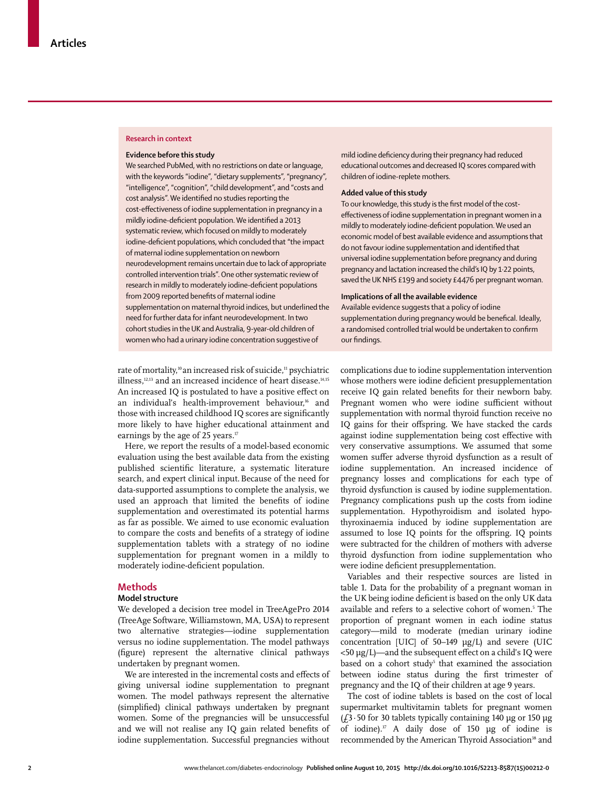#### **Research in context**

#### **Evidence before this study**

We searched PubMed, with no restrictions on date or language, with the keywords "iodine", "dietary supplements", "pregnancy", "intelligence", "cognition", "child development", and "costs and cost analysis". We identified no studies reporting the cost-effectiveness of iodine supplementation in pregnancy in a mildly iodine-deficient population. We identified a 2013 systematic review, which focused on mildly to moderately iodine-deficient populations, which concluded that "the impact of maternal iodine supplementation on newborn neurodevelopment remains uncertain due to lack of appropriate controlled intervention trials". One other systematic review of research in mildly to moderately iodine-deficient populations from 2009 reported benefits of maternal iodine supplementation on maternal thyroid indices, but underlined the need for further data for infant neurodevelopment. In two cohort studies in the UK and Australia, 9-year-old children of women who had a urinary iodine concentration suggestive of

rate of mortality,<sup>10</sup> an increased risk of suicide,<sup>11</sup> psychiatric illness,<sup>12,13</sup> and an increased incidence of heart disease.<sup>14,15</sup> An increased IQ is postulated to have a positive effect on an individual's health-improvement behaviour,<sup>16</sup> and those with increased childhood IQ scores are significantly more likely to have higher educational attainment and earnings by the age of 25 years.<sup>17</sup>

Here, we report the results of a model-based economic evaluation using the best available data from the existing published scientific literature, a systematic literature search, and expert clinical input.Because of the need for data-supported assumptions to complete the analysis, we used an approach that limited the benefits of iodine supplementation and overestimated its potential harms as far as possible. We aimed to use economic evaluation to compare the costs and benefits of a strategy of iodine supplementation tablets with a strategy of no iodine supplementation for pregnant women in a mildly to moderately iodine-deficient population.

# **Methods**

# **Model structure**

We developed a decision tree model in TreeAgePro 2014 (TreeAge Software, Williamstown, MA, USA) to represent two alternative strategies—iodine supplementation versus no iodine supplementation. The model pathways (figure) represent the alternative clinical pathways undertaken by pregnant women.

We are interested in the incremental costs and effects of giving universal iodine supplementation to pregnant women. The model pathways represent the alternative (simplified) clinical pathways undertaken by pregnant women. Some of the pregnancies will be unsuccessful and we will not realise any IQ gain related benefits of iodine supplementation. Successful pregnancies without mild iodine deficiency during their pregnancy had reduced educational outcomes and decreased IQ scores compared with children of iodine-replete mothers.

# **Added value of this study**

To our knowledge, this study is the first model of the costeffectiveness of iodine supplementation in pregnant women in a mildly to moderately iodine-deficient population. We used an economic model of best available evidence and assumptions that do not favour iodine supplementation and identified that universal iodine supplementation before pregnancy and during pregnancy and lactation increased the child's IQ by 1·22 points, saved the UK NHS £199 and society £4476 per pregnant woman.

#### **Implications of all the available evidence**

Available evidence suggests that a policy of iodine supplementation during pregnancy would be benefical. Ideally, a randomised controlled trial would be undertaken to confirm our findings.

complications due to iodine supplementation intervention whose mothers were iodine deficient presupplementation receive IQ gain related benefits for their newborn baby. Pregnant women who were iodine sufficient without supplementation with normal thyroid function receive no IQ gains for their offspring. We have stacked the cards against iodine supplementation being cost effective with very conservative assumptions. We assumed that some women suffer adverse thyroid dysfunction as a result of iodine supplementation. An increased incidence of pregnancy losses and complications for each type of thyroid dysfunction is caused by iodine supplementation. Pregnancy complications push up the costs from iodine supplementation. Hypothyroidism and isolated hypothyroxinaemia induced by iodine supplementation are assumed to lose IQ points for the offspring. IQ points were subtracted for the children of mothers with adverse thyroid dysfunction from iodine supplementation who were iodine deficient presupplementation.

Variables and their respective sources are listed in table 1. Data for the probability of a pregnant woman in the UK being iodine deficient is based on the only UK data available and refers to a selective cohort of women.<sup>5</sup> The proportion of pregnant women in each iodine status category—mild to moderate (median urinary iodine concentration [UIC] of 50–149 μg/L) and severe (UIC  $<$ 50 μg/L)—and the subsequent effect on a child's IO were based on a cohort study<sup>5</sup> that examined the association between iodine status during the first trimester of pregnancy and the IQ of their children at age 9 years.

The cost of iodine tablets is based on the cost of local supermarket multivitamin tablets for pregnant women  $(2.3.50$  for 30 tablets typically containing 140 μg or 150 μg of iodine).<sup>37</sup> A daily dose of 150 μg of iodine is recommended by the American Thyroid Association<sup>38</sup> and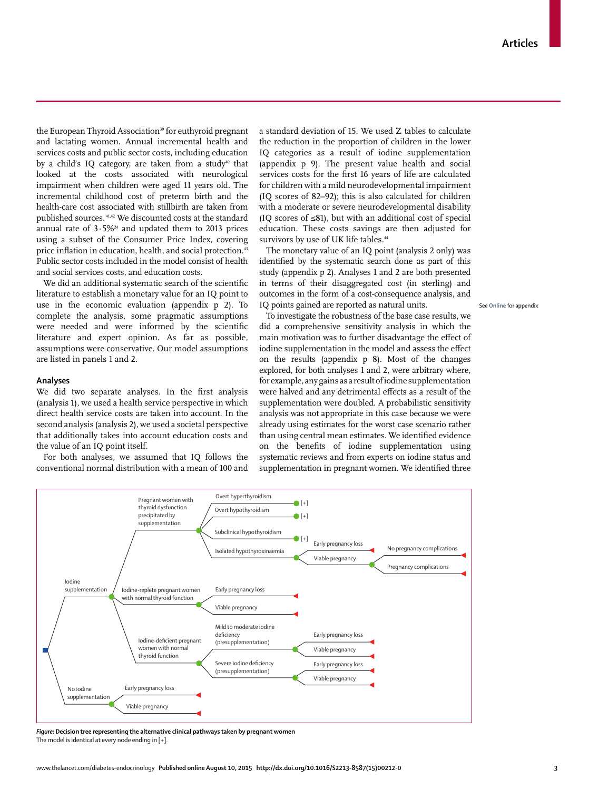the European Thyroid Association<sup>39</sup> for euthyroid pregnant and lactating women. Annual incremental health and services costs and public sector costs, including education by a child's IQ category, are taken from a study<sup>40</sup> that looked at the costs associated with neurological impairment when children were aged 11 years old. The incremental childhood cost of preterm birth and the health-care cost associated with stillbirth are taken from published sources. 41,42 We discounted costs at the standard annual rate of  $3.5\frac{24}{4}$  and updated them to 2013 prices using a subset of the Consumer Price Index, covering price inflation in education, health, and social protection.<sup>43</sup> Public sector costs included in the model consist of health and social services costs, and education costs.

We did an additional systematic search of the scientific literature to establish a monetary value for an IQ point to use in the economic evaluation (appendix p 2). To complete the analysis, some pragmatic assumptions were needed and were informed by the scientific literature and expert opinion. As far as possible, assumptions were conservative. Our model assumptions are listed in panels 1 and 2.

## **Analyses**

We did two separate analyses. In the first analysis (analysis 1), we used a health service perspective in which direct health service costs are taken into account. In the second analysis (analysis 2), we used a societal perspective that additionally takes into account education costs and the value of an IQ point itself.

For both analyses, we assumed that IQ follows the conventional normal distribution with a mean of 100 and a standard deviation of 15. We used Z tables to calculate the reduction in the proportion of children in the lower IQ categories as a result of iodine supplementation (appendix p 9). The present value health and social services costs for the first 16 years of life are calculated for children with a mild neurodevelopmental impairment (IQ scores of 82–92); this is also calculated for children with a moderate or severe neurodevelopmental disability (IQ scores of ≤81), but with an additional cost of special education. These costs savings are then adjusted for survivors by use of UK life tables.<sup>44</sup>

The monetary value of an IQ point (analysis 2 only) was identified by the systematic search done as part of this study (appendix p 2). Analyses 1 and 2 are both presented in terms of their disaggregated cost (in sterling) and outcomes in the form of a cost-consequence analysis, and IQ points gained are reported as natural units.

To investigate the robustness of the base case results, we did a comprehensive sensitivity analysis in which the main motivation was to further disadvantage the effect of iodine supplementation in the model and assess the effect on the results (appendix p 8). Most of the changes explored, for both analyses 1 and 2, were arbitrary where, for example, any gains as a result of iodine supplementation were halved and any detrimental effects as a result of the supplementation were doubled. A probabilistic sensitivity analysis was not appropriate in this case because we were already using estimates for the worst case scenario rather than using central mean estimates. We identified evidence on the benefits of iodine supplementation using systematic reviews and from experts on iodine status and supplementation in pregnant women. We identified three



*Figure***: Decision tree representing the alternative clinical pathways taken by pregnant women** The model is identical at every node ending in [+].

See **Online** for appendix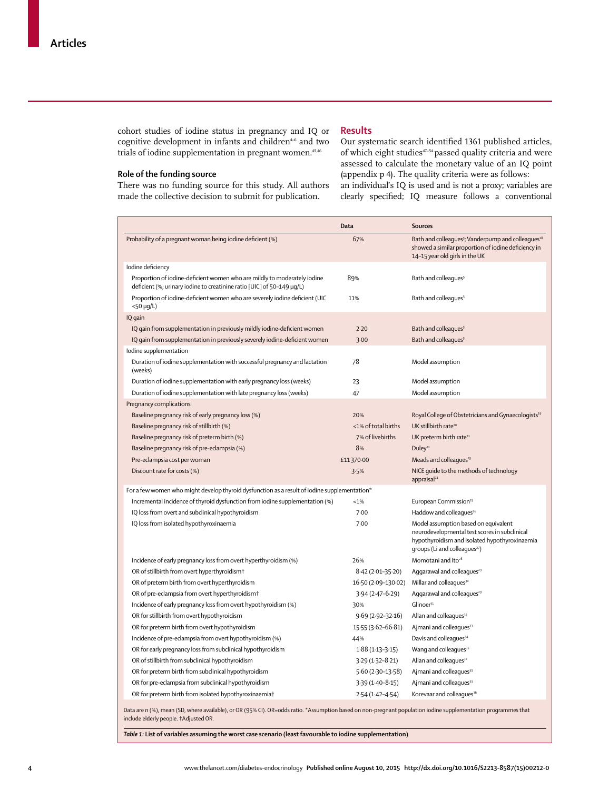cohort studies of iodine status in pregnancy and IQ or cognitive development in infants and children<sup>+6</sup> and two trials of iodine supplementation in pregnant women.45,46

# **Role of the funding source**

There was no funding source for this study. All authors made the collective decision to submit for publication.

# **Results**

Our systematic search identified 1361 published articles, of which eight studies $47-54$  passed quality criteria and were assessed to calculate the monetary value of an IQ point (appendix p 4). The quality criteria were as follows:

an individual's IQ is used and is not a proxy; variables are clearly specified; IQ measure follows a conventional

|                                                                                                                                                    | Data                 | <b>Sources</b>                                                                                                                                                                      |  |
|----------------------------------------------------------------------------------------------------------------------------------------------------|----------------------|-------------------------------------------------------------------------------------------------------------------------------------------------------------------------------------|--|
| Probability of a pregnant woman being iodine deficient (%)                                                                                         | 67%                  | Bath and colleagues <sup>5</sup> ; Vanderpump and colleagues <sup>18</sup><br>showed a similar proportion of iodine deficiency in<br>14-15 year old girls in the UK                 |  |
| Iodine deficiency                                                                                                                                  |                      |                                                                                                                                                                                     |  |
| Proportion of iodine-deficient women who are mildly to moderately iodine<br>deficient (%; urinary iodine to creatinine ratio [UIC] of 50-149 µq/L) | 89%                  | Bath and colleagues <sup>5</sup>                                                                                                                                                    |  |
| Proportion of iodine-deficient women who are severely iodine deficient (UIC<br>$<$ 50 $\mu$ g/L)                                                   | 11%                  | Bath and colleagues <sup>5</sup>                                                                                                                                                    |  |
| IQ gain                                                                                                                                            |                      |                                                                                                                                                                                     |  |
| IQ gain from supplementation in previously mildly iodine-deficient women                                                                           | 2.20                 | Bath and colleagues <sup>5</sup>                                                                                                                                                    |  |
| IQ gain from supplementation in previously severely iodine-deficient women                                                                         | 3.00                 | Bath and colleagues <sup>5</sup>                                                                                                                                                    |  |
| Iodine supplementation                                                                                                                             |                      |                                                                                                                                                                                     |  |
| Duration of iodine supplementation with successful pregnancy and lactation<br>(weeks)                                                              | 78                   | Model assumption                                                                                                                                                                    |  |
| Duration of iodine supplementation with early pregnancy loss (weeks)                                                                               | 23                   | Model assumption                                                                                                                                                                    |  |
| Duration of iodine supplementation with late pregnancy loss (weeks)                                                                                | 47                   | Model assumption                                                                                                                                                                    |  |
| Pregnancy complications                                                                                                                            |                      |                                                                                                                                                                                     |  |
| Baseline pregnancy risk of early pregnancy loss (%)                                                                                                | 20%                  | Royal College of Obstetricians and Gynaecologists <sup>19</sup>                                                                                                                     |  |
| Baseline pregnancy risk of stillbirth (%)                                                                                                          | <1% of total births  | UK stillbirth rate <sup>20</sup>                                                                                                                                                    |  |
| Baseline pregnancy risk of preterm birth (%)                                                                                                       | 7% of livebirths     | UK preterm birth rate <sup>21</sup>                                                                                                                                                 |  |
| Baseline pregnancy risk of pre-eclampsia (%)                                                                                                       | 8%                   | Duley <sup>22</sup>                                                                                                                                                                 |  |
| Pre-eclampsia cost per woman                                                                                                                       | £11370.00            | Meads and colleagues <sup>23</sup>                                                                                                                                                  |  |
| Discount rate for costs (%)                                                                                                                        | 3.5%                 | NICE quide to the methods of technology<br>appraisal <sup>24</sup>                                                                                                                  |  |
| For a few women who might develop thyroid dysfunction as a result of iodine supplementation*                                                       |                      |                                                                                                                                                                                     |  |
| Incremental incidence of thyroid dysfunction from iodine supplementation (%)                                                                       | <1%                  | European Commission <sup>25</sup>                                                                                                                                                   |  |
| IQ loss from overt and subclinical hypothyroidism                                                                                                  | 7.00                 | Haddow and colleagues <sup>26</sup>                                                                                                                                                 |  |
| IQ loss from isolated hypothyroxinaemia                                                                                                            | 7.00                 | Model assumption based on equivalent<br>neurodevelopmental test scores in subclinical<br>hypothyroidism and isolated hypothyroxinaemia<br>groups (Li and colleagues <sup>27</sup> ) |  |
| Incidence of early pregnancy loss from overt hyperthyroidism (%)                                                                                   | 26%                  | Momotani and Ito <sup>28</sup>                                                                                                                                                      |  |
| OR of stillbirth from overt hyperthyroidism <sup>+</sup>                                                                                           | $8.42(2.01-35.20)$   | Aggarawal and colleagues <sup>29</sup>                                                                                                                                              |  |
| OR of preterm birth from overt hyperthyroidism                                                                                                     | 16.50 (2.09-130.02)  | Millar and colleagues <sup>30</sup>                                                                                                                                                 |  |
| OR of pre-eclampsia from overt hyperthyroidism <sup>+</sup>                                                                                        | $3.94(2.47 - 6.29)$  | Aggarawal and colleagues <sup>29</sup>                                                                                                                                              |  |
| Incidence of early pregnancy loss from overt hypothyroidism (%)                                                                                    | 30%                  | Glinoer <sup>31</sup>                                                                                                                                                               |  |
| OR for stillbirth from overt hypothyroidism                                                                                                        | $9.69(2.92 - 32.16)$ | Allan and colleagues <sup>32</sup>                                                                                                                                                  |  |
| OR for preterm birth from overt hypothyroidism                                                                                                     | 15.55 (3.62-66.81)   | Ajmani and colleagues <sup>33</sup>                                                                                                                                                 |  |
| Incidence of pre-eclampsia from overt hypothyroidism (%)                                                                                           | 44%                  | Davis and colleagues <sup>34</sup>                                                                                                                                                  |  |
| OR for early pregnancy loss from subclinical hypothyroidism                                                                                        | $1.88(1.13-3.15)$    | Wang and colleagues <sup>35</sup>                                                                                                                                                   |  |
| OR of stillbirth from subclinical hypothyroidism                                                                                                   | $3.29(1.32 - 8.21)$  | Allan and colleagues <sup>32</sup>                                                                                                                                                  |  |
| OR for preterm birth from subclinical hypothyroidism                                                                                               | 5.60 (2.30-13.58)    | Ajmani and colleagues <sup>33</sup>                                                                                                                                                 |  |
| OR for pre-eclampsia from subclinical hypothyroidism                                                                                               | $3.39(1.40 - 8.15)$  | Ajmani and colleagues <sup>33</sup>                                                                                                                                                 |  |
| OR for preterm birth from isolated hypothyroxinaemia <sup>+</sup>                                                                                  | $2.54(1.42 - 4.54)$  | Korevaar and colleagues <sup>36</sup>                                                                                                                                               |  |

Data are n (%), mean (SD, where available), or OR (95% CI). OR=odds ratio. \*Assumption based on non-pregnant population iodine supplementation programmes that include elderly people. †Adjusted OR.

*Table 1:* **List of variables assuming the worst case scenario (least favourable to iodine supplementation)**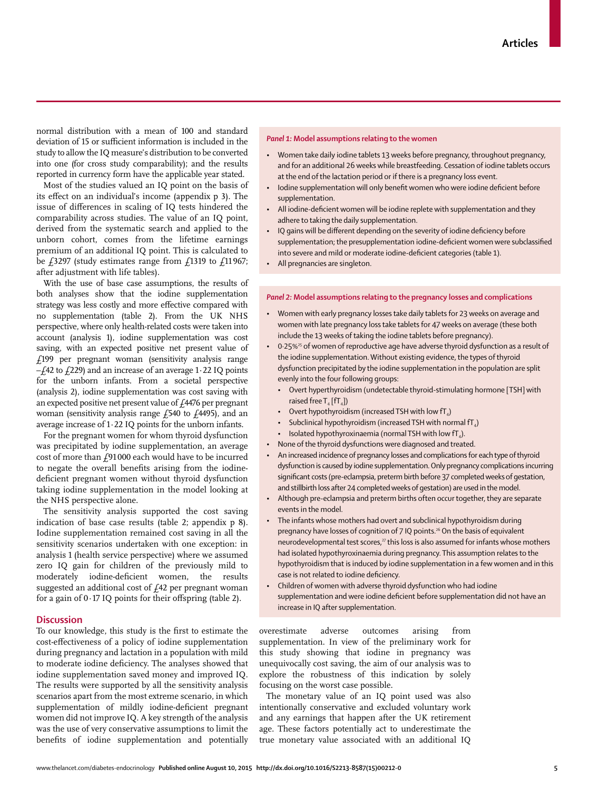normal distribution with a mean of 100 and standard deviation of 15 or sufficient information is included in the study to allow the IQ measure's distribution to be converted into one (for cross study comparability); and the results reported in currency form have the applicable year stated.

Most of the studies valued an IQ point on the basis of its effect on an individual's income (appendix p 3). The issue of differences in scaling of IQ tests hindered the comparability across studies. The value of an IQ point, derived from the systematic search and applied to the unborn cohort, comes from the lifetime earnings premium of an additional IQ point. This is calculated to be  $\text{\emph{f}}3297$  (study estimates range from  $\text{\emph{f}}1319$  to  $\text{\emph{f}}11967$ ; after adjustment with life tables).

With the use of base case assumptions, the results of both analyses show that the iodine supplementation strategy was less costly and more effective compared with no supplementation (table 2). From the UK NHS perspective, where only health-related costs were taken into account (analysis 1), iodine supplementation was cost saving, with an expected positive net present value of £199 per pregnant woman (sensitivity analysis range  $-442$  to  $4229$ ) and an increase of an average 1 $\cdot$  22 IQ points for the unborn infants. From a societal perspective (analysis 2), iodine supplementation was cost saving with an expected positive net present value of £4476 per pregnant woman (sensitivity analysis range  $f$ 540 to  $f$ 4495), and an average increase of 1·22 IQ points for the unborn infants.

For the pregnant women for whom thyroid dysfunction was precipitated by iodine supplementation, an average cost of more than £91 000 each would have to be incurred to negate the overall benefits arising from the iodinedeficient pregnant women without thyroid dysfunction taking iodine supplementation in the model looking at the NHS perspective alone.

The sensitivity analysis supported the cost saving indication of base case results (table 2; appendix p 8). Iodine supplementation remained cost saving in all the sensitivity scenarios undertaken with one exception: in analysis 1 (health service perspective) where we assumed zero IQ gain for children of the previously mild to moderately iodine-deficient women, the results suggested an additional cost of  $f$ 42 per pregnant woman for a gain of  $0.17$  IQ points for their offspring (table 2).

# **Discussion**

To our knowledge, this study is the first to estimate the cost-effectiveness of a policy of iodine supplementation during pregnancy and lactation in a population with mild to moderate iodine deficiency. The analyses showed that iodine supplementation saved money and improved IQ. The results were supported by all the sensitivity analysis scenarios apart from the most extreme scenario, in which supplementation of mildly iodine-deficient pregnant women did not improve IQ. A key strength of the analysis was the use of very conservative assumptions to limit the benefits of iodine supplementation and potentially

#### *Panel 1:* **Model assumptions relating to the women**

- Women take daily iodine tablets 13 weeks before pregnancy, throughout pregnancy, and for an additional 26 weeks while breastfeeding. Cessation of iodine tablets occurs at the end of the lactation period or if there is a pregnancy loss event.
- Iodine supplementation will only benefit women who were iodine deficient before supplementation.
- All iodine-deficient women will be iodine replete with supplementation and they adhere to taking the daily supplementation.
- IQ gains will be different depending on the severity of iodine deficiency before supplementation; the presupplementation iodine-deficient women were subclassified into severe and mild or moderate iodine-deficient categories (table 1).
- All pregnancies are singleton.

### *Panel 2:* **Model assumptions relating to the pregnancy losses and complications**

- Women with early pregnancy losses take daily tablets for 23 weeks on average and women with late pregnancy loss take tablets for 47 weeks on average (these both include the 13 weeks of taking the iodine tablets before pregnancy).
- 0·25%25 of women of reproductive age have adverse thyroid dysfunction as a result of the iodine supplementation. Without existing evidence, the types of thyroid dysfunction precipitated by the iodine supplementation in the population are split evenly into the four following groups:
	- Overt hyperthyroidism (undetectable thyroid-stimulating hormone [TSH] with raised free  $T_4$  [f $T_4$ ])
	- Overt hypothyroidism (increased TSH with low  $fT_{4}$ )
	- Subclinical hypothyroidism (increased TSH with normal  $fT_4$ )
	- Isolated hypothyroxinaemia (normal TSH with low  $fT<sub>4</sub>$ ).
- None of the thyroid dysfunctions were diagnosed and treated.
- An increased incidence of pregnancy losses and complications for each type of thyroid dysfunction is caused by iodine supplementation. Only pregnancy complications incurring significant costs (pre-eclampsia, preterm birth before 37 completed weeks of gestation, and stillbirth loss after 24 completed weeks of gestation) are used in the model.
- Although pre-eclampsia and preterm births often occur together, they are separate events in the model.
- The infants whose mothers had overt and subclinical hypothyroidism during pregnancy have losses of cognition of 7 IQ points.<sup>26</sup> On the basis of equivalent neurodevelopmental test scores, $^{27}$  this loss is also assumed for infants whose mothers had isolated hypothyroxinaemia during pregnancy. This assumption relates to the hypothyroidism that is induced by iodine supplementation in a few women and in this case is not related to jodine deficiency.
- Children of women with adverse thyroid dysfunction who had iodine supplementation and were iodine deficient before supplementation did not have an increase in IQ after supplementation.

overestimate adverse outcomes arising from supplementation. In view of the preliminary work for this study showing that iodine in pregnancy was unequivocally cost saving, the aim of our analysis was to explore the robustness of this indication by solely focusing on the worst case possible.

The monetary value of an IQ point used was also intentionally conservative and excluded voluntary work and any earnings that happen after the UK retirement age. These factors potentially act to underestimate the true monetary value associated with an additional IQ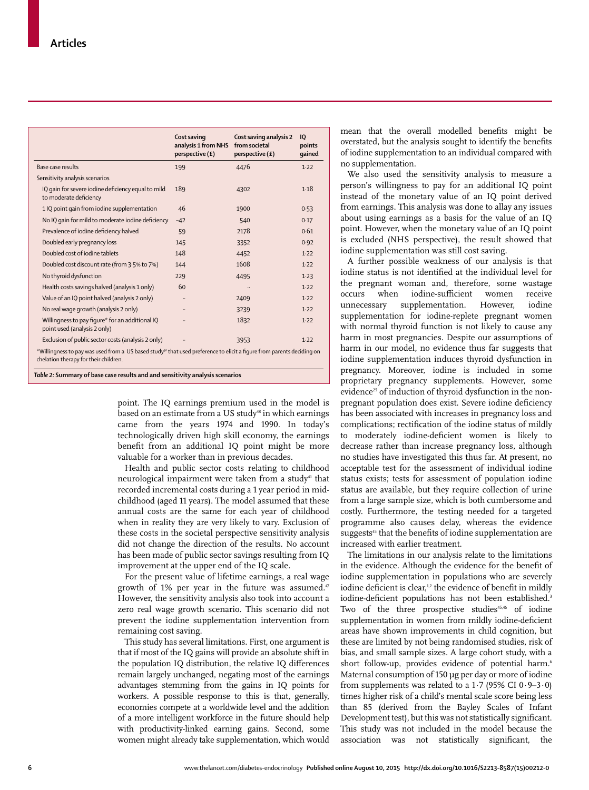|                                                                                                                                                                            | Cost saving<br>analysis 1 from NHS<br>perspective (£) | Cost saving analysis 2<br>from societal<br>perspective (£) | <b>IO</b><br>points<br>qained |  |
|----------------------------------------------------------------------------------------------------------------------------------------------------------------------------|-------------------------------------------------------|------------------------------------------------------------|-------------------------------|--|
| Base case results                                                                                                                                                          | 199                                                   | 4476                                                       | 1.22                          |  |
| Sensitivity analysis scenarios                                                                                                                                             |                                                       |                                                            |                               |  |
| IQ gain for severe iodine deficiency equal to mild<br>to moderate deficiency                                                                                               | 189                                                   | 4302                                                       | 1.18                          |  |
| 1 IQ point gain from iodine supplementation                                                                                                                                | 46                                                    | 1900                                                       | 0.53                          |  |
| No IQ gain for mild to moderate iodine deficiency                                                                                                                          | $-42$                                                 | 540                                                        | 0.17                          |  |
| Prevalence of iodine deficiency halved                                                                                                                                     | 59                                                    | 2178                                                       | 0.61                          |  |
| Doubled early pregnancy loss                                                                                                                                               | 145                                                   | 3352                                                       | 0.92                          |  |
| Doubled cost of jodine tablets                                                                                                                                             | 148                                                   | 4452                                                       | 1.22                          |  |
| Doubled cost discount rate (from 3.5% to 7%)                                                                                                                               | 144                                                   | 1608                                                       | 1.77                          |  |
| No thyroid dysfunction                                                                                                                                                     | 229                                                   | 4495                                                       | 1.23                          |  |
| Health costs savings halved (analysis 1 only)                                                                                                                              | 60                                                    |                                                            | 1.22                          |  |
| Value of an IQ point halved (analysis 2 only)                                                                                                                              |                                                       | 2409                                                       | 1.22                          |  |
| No real wage growth (analysis 2 only)                                                                                                                                      |                                                       | 3239                                                       | 1.77                          |  |
| Willingness to pay figure* for an additional IQ<br>point used (analysis 2 only)                                                                                            |                                                       | 1832                                                       | 1.22                          |  |
| Exclusion of public sector costs (analysis 2 only)                                                                                                                         |                                                       | 3953                                                       | 1.22                          |  |
| *Willingness to pay was used from a US based study <sup>so</sup> that used preference to elicit a figure from parents deciding on<br>chelation therapy for their children. |                                                       |                                                            |                               |  |

*Table 2:* **Summary of base case results and and sensitivity analysis scenarios** 

point. The IQ earnings premium used in the model is based on an estimate from a US study<sup>48</sup> in which earnings came from the years 1974 and 1990. In today's technologically driven high skill economy, the earnings benefit from an additional IQ point might be more valuable for a worker than in previous decades.

Health and public sector costs relating to childhood neurological impairment were taken from a study<sup>41</sup> that recorded incremental costs during a 1 year period in midchildhood (aged 11 years). The model assumed that these annual costs are the same for each year of childhood when in reality they are very likely to vary. Exclusion of these costs in the societal perspective sensitivity analysis did not change the direction of the results. No account has been made of public sector savings resulting from IQ improvement at the upper end of the IQ scale.

For the present value of lifetime earnings, a real wage growth of 1% per year in the future was assumed.<sup>47</sup> However, the sensitivity analysis also took into account a zero real wage growth scenario. This scenario did not prevent the iodine supplementation intervention from remaining cost saving.

This study has several limitations. First, one argument is that if most of the IQ gains will provide an absolute shift in the population IQ distribution, the relative IQ differences remain largely unchanged, negating most of the earnings advantages stemming from the gains in IQ points for workers. A possible response to this is that, generally, economies compete at a worldwide level and the addition of a more intelligent workforce in the future should help with productivity-linked earning gains. Second, some women might already take supplementation, which would mean that the overall modelled benefits might be overstated, but the analysis sought to identify the benefits of iodine supplementation to an individual compared with no supplementation.

We also used the sensitivity analysis to measure a person's willingness to pay for an additional IQ point instead of the monetary value of an IQ point derived from earnings. This analysis was done to allay any issues about using earnings as a basis for the value of an IQ point. However, when the monetary value of an IQ point is excluded (NHS perspective), the result showed that iodine supplementation was still cost saving.

A further possible weakness of our analysis is that iodine status is not identified at the individual level for the pregnant woman and, therefore, some wastage occurs when iodine-sufficient women receive unnecessary supplementation. However, iodine supplementation for iodine-replete pregnant women with normal thyroid function is not likely to cause any harm in most pregnancies. Despite our assumptions of harm in our model, no evidence thus far suggests that iodine supplementation induces thyroid dysfunction in pregnancy. Moreover, iodine is included in some proprietary pregnancy supplements. However, some evidence<sup>25</sup> of induction of thyroid dysfunction in the nonpregnant population does exist. Severe iodine deficiency has been associated with increases in pregnancy loss and complications; rectification of the iodine status of mildly to moderately iodine-deficient women is likely to decrease rather than increase pregnancy loss, although no studies have investigated this thus far. At present, no acceptable test for the assessment of individual iodine status exists; tests for assessment of population iodine status are available, but they require collection of urine from a large sample size, which is both cumbersome and costly. Furthermore, the testing needed for a targeted programme also causes delay, whereas the evidence suggests<sup>45</sup> that the benefits of iodine supplementation are increased with earlier treatment.

The limitations in our analysis relate to the limitations in the evidence. Although the evidence for the benefit of iodine supplementation in populations who are severely iodine deficient is clear.<sup>1,2</sup> the evidence of benefit in mildly iodine-deficient populations has not been established.<sup>3</sup> Two of the three prospective studies<sup>45,46</sup> of iodine supplementation in women from mildly iodine-deficient areas have shown improvements in child cognition, but these are limited by not being randomised studies, risk of bias, and small sample sizes. A large cohort study, with a short follow-up, provides evidence of potential harm.<sup>6</sup> Maternal consumption of 150 μg per day or more of iodine from supplements was related to a  $1.7$  (95% CI  $0.9-3.0$ ) times higher risk of a child's mental scale score being less than 85 (derived from the Bayley Scales of Infant Development test), but this was not statistically significant. This study was not included in the model because the association was not statistically significant, the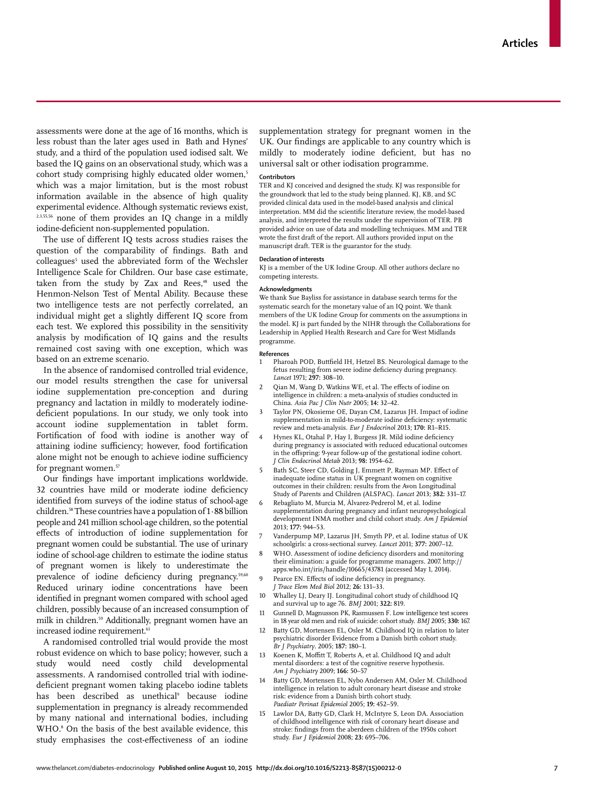assessments were done at the age of 16 months, which is less robust than the later ages used in Bath and Hynes' study, and a third of the population used iodised salt. We based the IQ gains on an observational study, which was a cohort study comprising highly educated older women,<sup>5</sup> which was a major limitation, but is the most robust information available in the absence of high quality experimental evidence. Although systematic reviews exist, 2,3,55,56 none of them provides an IQ change in a mildly iodine-deficient non-supplemented population.

The use of different IQ tests across studies raises the question of the comparability of findings. Bath and colleagues5 used the abbreviated form of the Wechsler Intelligence Scale for Children. Our base case estimate, taken from the study by Zax and Rees,<sup>48</sup> used the Henmon-Nelson Test of Mental Ability. Because these two intelligence tests are not perfectly correlated, an individual might get a slightly different IQ score from each test. We explored this possibility in the sensitivity analysis by modification of IQ gains and the results remained cost saving with one exception, which was based on an extreme scenario.

In the absence of randomised controlled trial evidence, our model results strengthen the case for universal iodine supplementation pre-conception and during pregnancy and lactation in mildly to moderately iodinedeficient populations. In our study, we only took into account iodine supplementation in tablet form. Fortification of food with iodine is another way of attaining iodine sufficiency; however, food fortification alone might not be enough to achieve iodine sufficiency for pregnant women.<sup>57</sup>

Our findings have important implications worldwide. 32 countries have mild or moderate iodine deficiency identified from surveys of the iodine status of school-age children.58 These countries have a population of 1·88 billion people and 241 million school-age children, so the potential effects of introduction of iodine supplementation for pregnant women could be substantial. The use of urinary iodine of school-age children to estimate the iodine status of pregnant women is likely to underestimate the prevalence of iodine deficiency during pregnancy.<sup>59,60</sup> Reduced urinary iodine concentrations have been identified in pregnant women compared with school aged children, possibly because of an increased consumption of milk in children.59 Additionally, pregnant women have an increased iodine requirement.<sup>61</sup>

A randomised controlled trial would provide the most robust evidence on which to base policy; however, such a study would need costly child developmental assessments. A randomised controlled trial with iodinedeficient pregnant women taking placebo iodine tablets has been described as unethical<sup>9</sup> because iodine supplementation in pregnancy is already recommended by many national and international bodies, including WHO.<sup>8</sup> On the basis of the best available evidence, this study emphasises the cost-effectiveness of an iodine

supplementation strategy for pregnant women in the UK. Our findings are applicable to any country which is mildly to moderately iodine deficient, but has no universal salt or other iodisation programme.

#### **Contributors**

TER and KJ conceived and designed the study. KJ was responsible for the groundwork that led to the study being planned. KJ, KB, and SC provided clinical data used in the model-based analysis and clinical interpretation. MM did the scientific literature review, the model-based analysis, and interpreted the results under the supervision of TER. PB provided advice on use of data and modelling techniques. MM and TER wrote the first draft of the report. All authors provided input on the manuscript draft. TER is the guarantor for the study.

#### **Declaration of interests**

KJ is a member of the UK Iodine Group. All other authors declare no competing interests.

#### **Acknowledgments**

We thank Sue Bayliss for assistance in database search terms for the systematic search for the monetary value of an IQ point. We thank members of the UK Iodine Group for comments on the assumptions in the model. KJ is part funded by the NIHR through the Collaborations for Leadership in Applied Health Research and Care for West Midlands programme.

#### **References**

- Pharoah POD, Buttfield IH, Hetzel BS. Neurological damage to the fetus resulting from severe iodine deficiency during pregnancy. *Lancet* 1971; **297:** 308–10.
- Qian M, Wang D, Watkins WE, et al. The effects of iodine on intelligence in children: a meta-analysis of studies conducted in China. *Asia Pac J Clin Nutr* 2005; **14:** 32–42.
- 3 Taylor PN, Okosieme OE, Dayan CM, Lazarus JH. Impact of iodine supplementation in mild-to-moderate iodine deficiency: systematic review and meta-analysis. *Eur J Endocrinol* 2013; **170:** R1–R15.
- Hynes KL, Otahal P, Hay I, Burgess JR. Mild iodine deficiency during pregnancy is associated with reduced educational outcomes in the off spring: 9-year follow-up of the gestational iodine cohort. *J Clin Endocrinol Metab* 2013; **98:** 1954–62.
- Bath SC, Steer CD, Golding J, Emmett P, Rayman MP. Effect of inadequate iodine status in UK pregnant women on cognitive outcomes in their children: results from the Avon Longitudinal Study of Parents and Children (ALSPAC). *Lancet* 2013; **382:** 331–17.
- 6 Rebagliato M, Murcia M, Álvarez-Pedrerol M, et al. Iodine supplementation during pregnancy and infant neuropsychological development INMA mother and child cohort study. *Am J Epidemiol* 2013; **177:** 944–53.
- Vanderpump MP, Lazarus JH, Smyth PP, et al. Iodine status of UK schoolgirls: a cross-sectional survey. *Lancet* 2011; **377:** 2007–12.
- 8 WHO. Assessment of iodine deficiency disorders and monitoring their elimination: a guide for programme managers. 2007. http:// apps.who.int/iris/handle/10665/43781 (accessed May 1, 2014).
- 9 Pearce EN. Effects of iodine deficiency in pregnancy. *J Trace Elem Med Biol* 2012; **26:** 131–33.
- 10 Whalley LJ, Deary IJ. Longitudinal cohort study of childhood IQ and survival up to age 76. *BMJ* 2001; **322:** 819.
- 11 Gunnell D, Magnusson PK, Rasmussen F. Low intelligence test scores in 18 year old men and risk of suicide: cohort study. *BMJ* 2005; **330:** 167.
- 12 Batty GD, Mortensen EL, Osler M. Childhood IQ in relation to later psychiatric disorder Evidence from a Danish birth cohort study. *Br J Psychiatry*. 2005; **187:** 180–1.
- 13 Koenen K, Moffitt T, Roberts A, et al. Childhood IQ and adult mental disorders: a test of the cognitive reserve hypothesis. *Am J Psychiatry* 2009; **166:** 50–57
- Batty GD, Mortensen EL, Nybo Andersen AM, Osler M. Childhood intelligence in relation to adult coronary heart disease and stroke risk: evidence from a Danish birth cohort study. *Paediatr Perinat Epidemiol* 2005; **19:** 452–59.
- Lawlor DA, Batty GD, Clark H, McIntyre S, Leon DA. Association of childhood intelligence with risk of coronary heart disease and stroke: findings from the aberdeen children of the 1950s cohort study. *Eur J Epidemiol* 2008; **23:** 695–706.